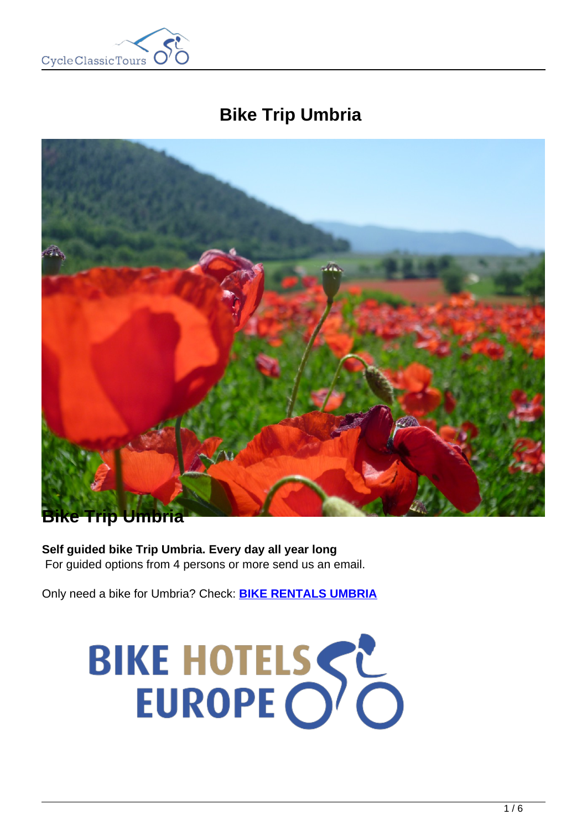

# **Bike Trip Umbria**



# **Bike Trip Umbria**

**Self guided bike Trip Umbria. Every day all year long** For guided options from 4 persons or more send us an email.

Only need a bike for Umbria? Check: **[BIKE RENTALS UMBRIA](https://www.cctbikerental.com/location/umbria-bike-rentals/)**

# BIKE HOTELSSE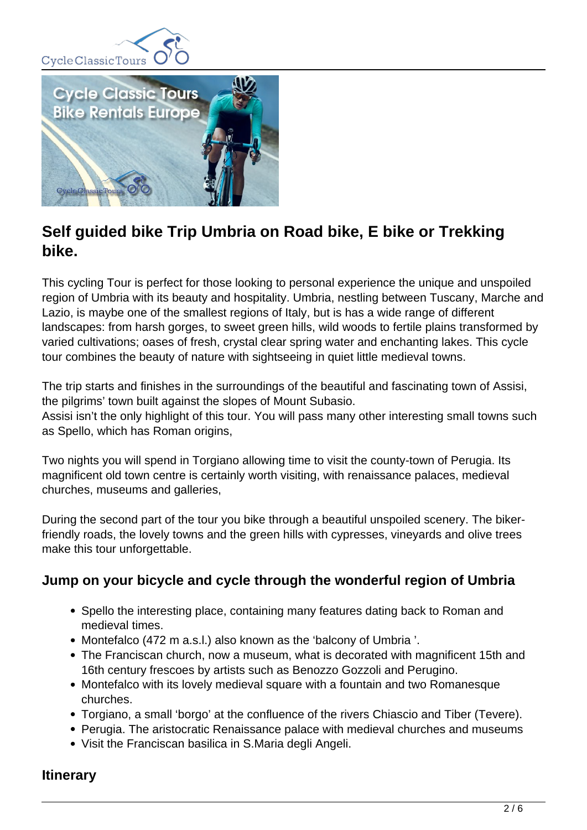



# **Self guided bike Trip Umbria on Road bike, E bike or Trekking bike.**

This cycling Tour is perfect for those looking to personal experience the unique and unspoiled region of Umbria with its beauty and hospitality. Umbria, nestling between Tuscany, Marche and Lazio, is maybe one of the smallest regions of Italy, but is has a wide range of different landscapes: from harsh gorges, to sweet green hills, wild woods to fertile plains transformed by varied cultivations; oases of fresh, crystal clear spring water and enchanting lakes. This cycle tour combines the beauty of nature with sightseeing in quiet little medieval towns.

The trip starts and finishes in the surroundings of the beautiful and fascinating town of Assisi, the pilgrims' town built against the slopes of Mount Subasio.

Assisi isn't the only highlight of this tour. You will pass many other interesting small towns such as Spello, which has Roman origins,

Two nights you will spend in Torgiano allowing time to visit the county-town of Perugia. Its magnificent old town centre is certainly worth visiting, with renaissance palaces, medieval churches, museums and galleries,

During the second part of the tour you bike through a beautiful unspoiled scenery. The bikerfriendly roads, the lovely towns and the green hills with cypresses, vineyards and olive trees make this tour unforgettable.

# **Jump on your bicycle and cycle through the wonderful region of Umbria**

- Spello the interesting place, containing many features dating back to Roman and medieval times.
- Montefalco (472 m a.s.l.) also known as the 'balcony of Umbria'.
- The Franciscan church, now a museum, what is decorated with magnificent 15th and 16th century frescoes by artists such as Benozzo Gozzoli and Perugino.
- Montefalco with its lovely medieval square with a fountain and two Romanesque churches.
- Torgiano, a small 'borgo' at the confluence of the rivers Chiascio and Tiber (Tevere).
- Perugia. The aristocratic Renaissance palace with medieval churches and museums
- Visit the Franciscan basilica in S.Maria degli Angeli.

# **Itinerary**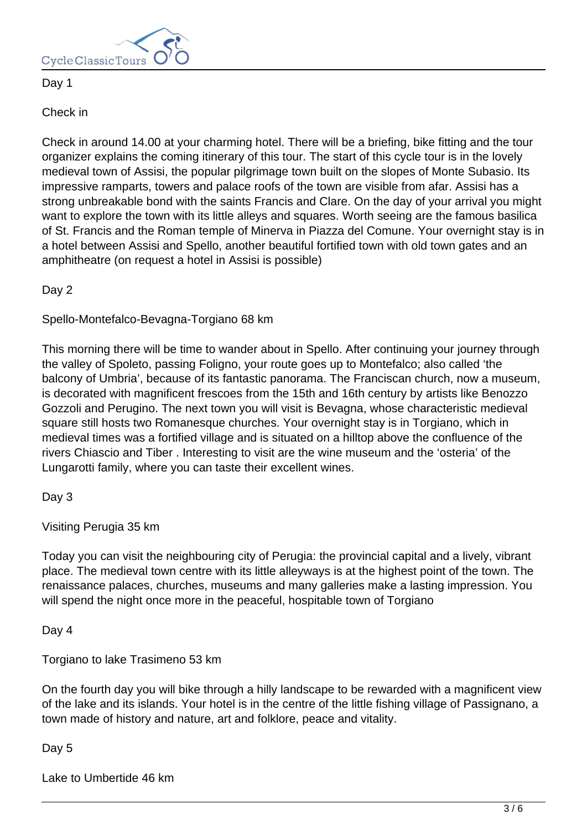

# Day 1

# Check in

Check in around 14.00 at your charming hotel. There will be a briefing, bike fitting and the tour organizer explains the coming itinerary of this tour. The start of this cycle tour is in the lovely medieval town of Assisi, the popular pilgrimage town built on the slopes of Monte Subasio. Its impressive ramparts, towers and palace roofs of the town are visible from afar. Assisi has a strong unbreakable bond with the saints Francis and Clare. On the day of your arrival you might want to explore the town with its little alleys and squares. Worth seeing are the famous basilica of St. Francis and the Roman temple of Minerva in Piazza del Comune. Your overnight stay is in a hotel between Assisi and Spello, another beautiful fortified town with old town gates and an amphitheatre (on request a hotel in Assisi is possible)

Day 2

Spello-Montefalco-Bevagna-Torgiano 68 km

This morning there will be time to wander about in Spello. After continuing your journey through the valley of Spoleto, passing Foligno, your route goes up to Montefalco; also called 'the balcony of Umbria', because of its fantastic panorama. The Franciscan church, now a museum, is decorated with magnificent frescoes from the 15th and 16th century by artists like Benozzo Gozzoli and Perugino. The next town you will visit is Bevagna, whose characteristic medieval square still hosts two Romanesque churches. Your overnight stay is in Torgiano, which in medieval times was a fortified village and is situated on a hilltop above the confluence of the rivers Chiascio and Tiber . Interesting to visit are the wine museum and the 'osteria' of the Lungarotti family, where you can taste their excellent wines.

Day 3

Visiting Perugia 35 km

Today you can visit the neighbouring city of Perugia: the provincial capital and a lively, vibrant place. The medieval town centre with its little alleyways is at the highest point of the town. The renaissance palaces, churches, museums and many galleries make a lasting impression. You will spend the night once more in the peaceful, hospitable town of Torgiano

Day 4

Torgiano to lake Trasimeno 53 km

On the fourth day you will bike through a hilly landscape to be rewarded with a magnificent view of the lake and its islands. Your hotel is in the centre of the little fishing village of Passignano, a town made of history and nature, art and folklore, peace and vitality.

Day 5

Lake to Umbertide 46 km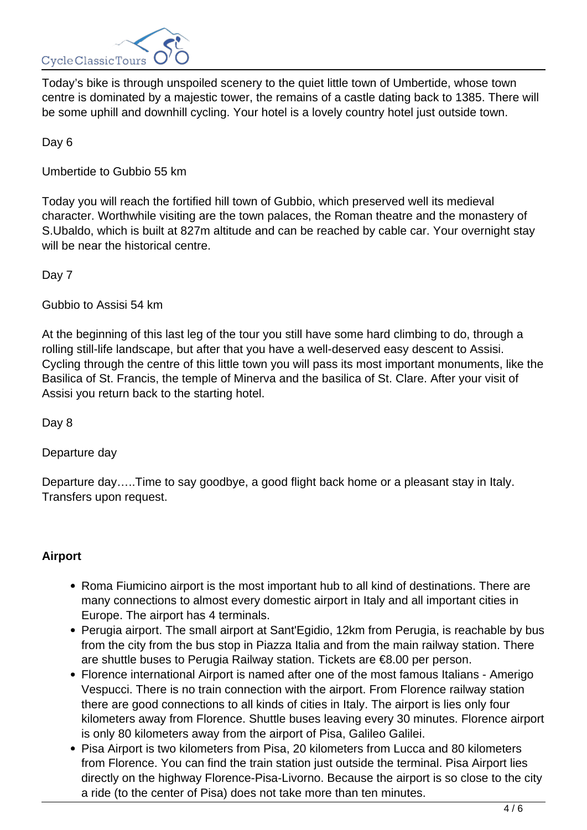

Today's bike is through unspoiled scenery to the quiet little town of Umbertide, whose town centre is dominated by a majestic tower, the remains of a castle dating back to 1385. There will be some uphill and downhill cycling. Your hotel is a lovely country hotel just outside town.

Day 6

Umbertide to Gubbio 55 km

Today you will reach the fortified hill town of Gubbio, which preserved well its medieval character. Worthwhile visiting are the town palaces, the Roman theatre and the monastery of S.Ubaldo, which is built at 827m altitude and can be reached by cable car. Your overnight stay will be near the historical centre.

Day 7

Gubbio to Assisi 54 km

At the beginning of this last leg of the tour you still have some hard climbing to do, through a rolling still-life landscape, but after that you have a well-deserved easy descent to Assisi. Cycling through the centre of this little town you will pass its most important monuments, like the Basilica of St. Francis, the temple of Minerva and the basilica of St. Clare. After your visit of Assisi you return back to the starting hotel.

Day 8

Departure day

Departure day…..Time to say goodbye, a good flight back home or a pleasant stay in Italy. Transfers upon request.

# **Airport**

- Roma Fiumicino airport is the most important hub to all kind of destinations. There are many connections to almost every domestic airport in Italy and all important cities in Europe. The airport has 4 terminals.
- Perugia airport. The small airport at Sant'Egidio, 12km from Perugia, is reachable by bus from the city from the bus stop in Piazza Italia and from the main railway station. There are shuttle buses to Perugia Railway station. Tickets are €8.00 per person.
- Florence international Airport is named after one of the most famous Italians Amerigo Vespucci. There is no train connection with the airport. From Florence railway station there are good connections to all kinds of cities in Italy. The airport is lies only four kilometers away from Florence. Shuttle buses leaving every 30 minutes. Florence airport is only 80 kilometers away from the airport of Pisa, Galileo Galilei.
- Pisa Airport is two kilometers from Pisa, 20 kilometers from Lucca and 80 kilometers from Florence. You can find the train station just outside the terminal. Pisa Airport lies directly on the highway Florence-Pisa-Livorno. Because the airport is so close to the city a ride (to the center of Pisa) does not take more than ten minutes.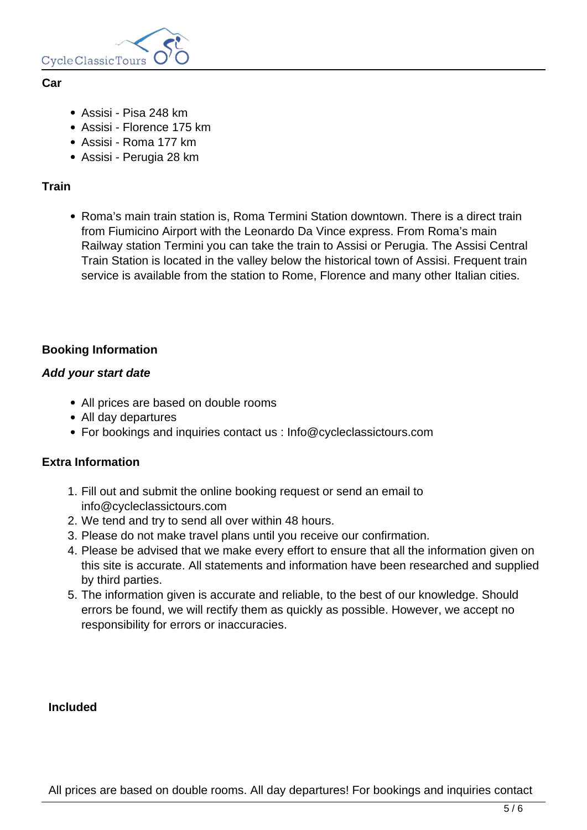

#### **Car**

- Assisi Pisa 248 km
- Assisi Florence 175 km
- Assisi Roma 177 km
- Assisi Perugia 28 km

# **Train**

• Roma's main train station is, Roma Termini Station downtown. There is a direct train from Fiumicino Airport with the Leonardo Da Vince express. From Roma's main Railway station Termini you can take the train to Assisi or Perugia. The Assisi Central Train Station is located in the valley below the historical town of Assisi. Frequent train service is available from the station to Rome, Florence and many other Italian cities.

# **Booking Information**

#### **Add your start date**

- All prices are based on double rooms
- All day departures
- For bookings and inquiries contact us : Info@cycleclassictours.com

# **Extra Information**

- 1. Fill out and submit the online booking request or send an email to info@cycleclassictours.com
- 2. We tend and try to send all over within 48 hours.
- 3. Please do not make travel plans until you receive our confirmation.
- 4. Please be advised that we make every effort to ensure that all the information given on this site is accurate. All statements and information have been researched and supplied by third parties.
- 5. The information given is accurate and reliable, to the best of our knowledge. Should errors be found, we will rectify them as quickly as possible. However, we accept no responsibility for errors or inaccuracies.

# **Included**

All prices are based on double rooms. All day departures! For bookings and inquiries contact